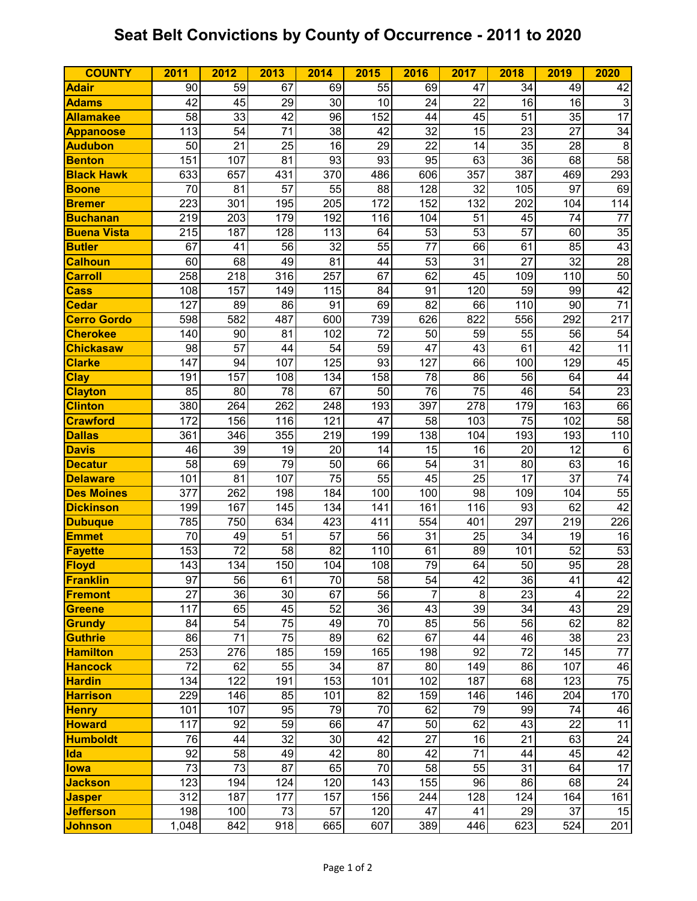## **Seat Belt Convictions by County of Occurrence - 2011 to 2020**

| <b>COUNTY</b>      | 2011            | 2012            | 2013            | 2014            | 2015            | 2016            | 2017 | 2018            | 2019            | 2020            |
|--------------------|-----------------|-----------------|-----------------|-----------------|-----------------|-----------------|------|-----------------|-----------------|-----------------|
| <b>Adair</b>       | 90              | 59              | 67              | 69              | 55              | 69              | 47   | 34              | 49              | 42              |
| <b>Adams</b>       | 42              | 45              | 29              | 30              | 10              | 24              | 22   | 16              | 16              | $\mathbf{3}$    |
| <b>Allamakee</b>   | 58              | 33              | 42              | 96              | 152             | 44              | 45   | 51              | 35              | 17              |
| <b>Appanoose</b>   | 113             | 54              | 71              | 38              | 42              | 32              | 15   | 23              | 27              | $\overline{34}$ |
| <b>Audubon</b>     | 50              | 21              | 25              | 16              | 29              | 22              | 14   | 35              | 28              | 8               |
| <b>Benton</b>      | 151             | 107             | 81              | 93              | 93              | 95              | 63   | 36              | 68              | 58              |
| <b>Black Hawk</b>  | 633             | 657             | 431             | 370             | 486             | 606             | 357  | 387             | 469             | 293             |
| <b>Boone</b>       | 70              | 81              | 57              | 55              | 88              | 128             | 32   | 105             | 97              | 69              |
| <b>Bremer</b>      | 223             | 301             | 195             | 205             | 172             | 152             | 132  | 202             | 104             | 114             |
| <b>Buchanan</b>    | 219             | 203             | 179             | 192             | 116             | 104             | 51   | 45              | 74              | $\overline{77}$ |
| <b>Buena Vista</b> | 215             | 187             | 128             | 113             | 64              | 53              | 53   | 57              | 60              | 35              |
| <b>Butler</b>      | 67              | 41              | $\overline{56}$ | $\overline{32}$ | $\overline{55}$ | $\overline{77}$ | 66   | 61              | 85              | 43              |
| <b>Calhoun</b>     | 60              | 68              | 49              | 81              | 44              | 53              | 31   | 27              | $\overline{32}$ | $\overline{28}$ |
| <b>Carroll</b>     | 258             | 218             | 316             | 257             | 67              | 62              | 45   | 109             | 110             | 50              |
| <b>Cass</b>        | 108             | 157             | 149             | 115             | 84              | 91              | 120  | 59              | 99              | 42              |
| <b>Cedar</b>       | 127             | 89              | 86              | 91              | 69              | 82              | 66   | 110             | 90              | $\overline{71}$ |
| <b>Cerro Gordo</b> | 598             | 582             | 487             | 600             | 739             | 626             | 822  | 556             | 292             | 217             |
| <b>Cherokee</b>    | 140             | 90              | 81              | 102             | 72              | 50              | 59   | 55              | 56              | 54              |
| <b>Chickasaw</b>   | 98              | 57              | 44              | 54              | 59              | 47              | 43   | 61              | 42              | $\overline{11}$ |
| <b>Clarke</b>      | 147             | 94              | 107             | 125             | 93              | 127             | 66   | 100             | 129             | 45              |
| <b>Clay</b>        | 191             | 157             | 108             | 134             | 158             | 78              | 86   | 56              | 64              | 44              |
| <b>Clayton</b>     | 85              | 80              | 78              | 67              | 50              | 76              | 75   | 46              | 54              | $\overline{23}$ |
| <b>Clinton</b>     | 380             | 264             | 262             | 248             | 193             | 397             | 278  | 179             | 163             | 66              |
| <b>Crawford</b>    | 172             | 156             | 116             | 121             | $\overline{47}$ | 58              | 103  | $\overline{75}$ | 102             | 58              |
| <b>Dallas</b>      | 361             | 346             | 355             | 219             | 199             | 138             | 104  | 193             | 193             | 110             |
| <b>Davis</b>       | 46              | 39              | 19              | 20              | 14              | 15              | 16   | 20              | 12              | $\,6$           |
| <b>Decatur</b>     | 58              | 69              | 79              | 50              | 66              | 54              | 31   | 80              | 63              | 16              |
| <b>Delaware</b>    | 101             | 81              | 107             | 75              | 55              | 45              | 25   | 17              | 37              | $\overline{74}$ |
| <b>Des Moines</b>  | 377             | 262             | 198             | 184             | 100             | 100             | 98   | 109             | 104             | 55              |
| <b>Dickinson</b>   | 199             | 167             | 145             | 134             | 141             | 161             | 116  | 93              | 62              | 42              |
| <b>Dubuque</b>     | 785             | 750             | 634             | 423             | 411             | 554             | 401  | 297             | 219             | 226             |
| <b>Emmet</b>       | 70              | 49              | 51              | 57              | 56              | 31              | 25   | 34              | 19              | 16              |
| Fayette            | 153             | 72              | 58              | 82              | 110             | 61              | 89   | 101             | 52              | 53              |
| Floyd              | 143             | 134             | 150             | 104             | 108             | 79              | 64   | 50              | 95              | $\overline{28}$ |
| <b>Franklin</b>    | 97              | 56              | 61              | 70              | 58              | 54              | 42   | 36              | 41              | 42              |
| Fremont            | 27              | 36              | 30              | 67              | 56              | $\overline{7}$  | 8    | 23              | 4               | $\overline{22}$ |
| Greene             | 117             | 65              | 45              | 52              | $\overline{36}$ | 43              | 39   | 34              | 43              | 29              |
| Grundy             | 84              | 54              | 75              | 49              | 70              | 85              | 56   | 56              | 62              | 82              |
| <b>Guthrie</b>     | 86              | 71              | 75              | 89              | 62              | 67              | 44   | 46              | $\overline{38}$ | $\overline{23}$ |
| <b>Hamilton</b>    | 253             | 276             | 185             | 159             | 165             | 198             | 92   | $\overline{72}$ | 145             | $\overline{77}$ |
| <b>Hancock</b>     | 72              | 62              | 55              | 34              | 87              | 80              | 149  | 86              | 107             | 46              |
| Hardin             | 134             | 122             | 191             | 153             | 101             | 102             | 187  | 68              | 123             | $\overline{75}$ |
| <b>Harrison</b>    | 229             | 146             | 85              | 101             | 82              | 159             | 146  | 146             | 204             | 170             |
| <b>Henry</b>       | 101             | 107             | 95              | 79              | 70              | 62              | 79   | 99              | 74              | 46              |
| <b>Howard</b>      | 117             | 92              | 59              | 66              | 47              | 50              | 62   | 43              | 22              | $\overline{11}$ |
| <b>Humboldt</b>    | 76              | 44              | 32              | 30              | $\overline{42}$ | 27              | 16   | 21              | 63              | $\overline{24}$ |
| Ida                | $\overline{92}$ | 58              | 49              | 42              | 80              | 42              | 71   | 44              | 45              | 42              |
| <b>lowa</b>        | $\overline{73}$ | $\overline{73}$ | $\overline{87}$ | 65              | $\overline{70}$ | 58              | 55   | 31              | 64              | 17              |
| <b>Jackson</b>     | 123             | 194             | 124             | 120             | 143             | 155             | 96   | 86              | 68              | $\overline{24}$ |
| <b>Jasper</b>      | 312             | 187             | 177             | 157             | 156             | 244             | 128  | 124             | 164             | 161             |
| <b>Jefferson</b>   | 198             | 100             | 73              | 57              | 120             | 47              | 41   | 29              | 37              | 15              |
| <b>Johnson</b>     | 1,048           | 842             | 918             | 665             | 607             | 389             | 446  | 623             | 524             | 201             |